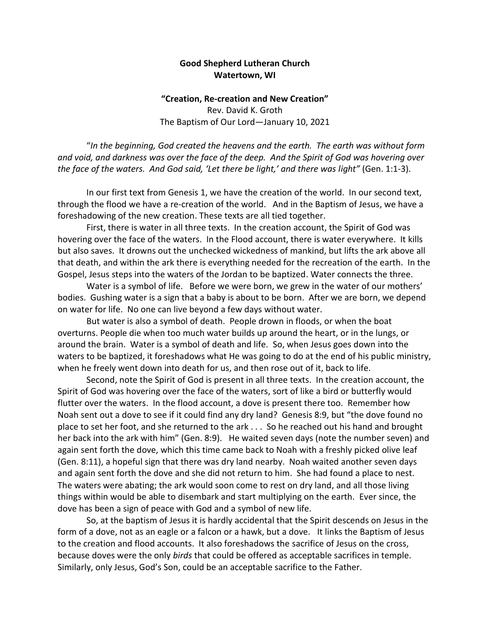## **Good Shepherd Lutheran Church Watertown, WI**

## **"Creation, Re-creation and New Creation"** Rev. David K. Groth The Baptism of Our Lord—January 10, 2021

"*In the beginning, God created the heavens and the earth. The earth was without form and void, and darkness was over the face of the deep. And the Spirit of God was hovering over the face of the waters. And God said, 'Let there be light,' and there was light"* (Gen. 1:1-3).

In our first text from Genesis 1, we have the creation of the world. In our second text, through the flood we have a re-creation of the world. And in the Baptism of Jesus, we have a foreshadowing of the new creation. These texts are all tied together.

First, there is water in all three texts. In the creation account, the Spirit of God was hovering over the face of the waters. In the Flood account, there is water everywhere. It kills but also saves. It drowns out the unchecked wickedness of mankind, but lifts the ark above all that death, and within the ark there is everything needed for the recreation of the earth. In the Gospel, Jesus steps into the waters of the Jordan to be baptized. Water connects the three.

Water is a symbol of life. Before we were born, we grew in the water of our mothers' bodies. Gushing water is a sign that a baby is about to be born. After we are born, we depend on water for life. No one can live beyond a few days without water.

But water is also a symbol of death. People drown in floods, or when the boat overturns. People die when too much water builds up around the heart, or in the lungs, or around the brain. Water is a symbol of death and life. So, when Jesus goes down into the waters to be baptized, it foreshadows what He was going to do at the end of his public ministry, when he freely went down into death for us, and then rose out of it, back to life.

Second, note the Spirit of God is present in all three texts. In the creation account, the Spirit of God was hovering over the face of the waters, sort of like a bird or butterfly would flutter over the waters. In the flood account, a dove is present there too. Remember how Noah sent out a dove to see if it could find any dry land? Genesis 8:9, but "the dove found no place to set her foot, and she returned to the ark . . . So he reached out his hand and brought her back into the ark with him" (Gen. 8:9). He waited seven days (note the number seven) and again sent forth the dove, which this time came back to Noah with a freshly picked olive leaf (Gen. 8:11), a hopeful sign that there was dry land nearby. Noah waited another seven days and again sent forth the dove and she did not return to him. She had found a place to nest. The waters were abating; the ark would soon come to rest on dry land, and all those living things within would be able to disembark and start multiplying on the earth. Ever since, the dove has been a sign of peace with God and a symbol of new life.

So, at the baptism of Jesus it is hardly accidental that the Spirit descends on Jesus in the form of a dove, not as an eagle or a falcon or a hawk, but a dove. It links the Baptism of Jesus to the creation and flood accounts. It also foreshadows the sacrifice of Jesus on the cross, because doves were the only *birds* that could be offered as acceptable sacrifices in temple. Similarly, only Jesus, God's Son, could be an acceptable sacrifice to the Father.